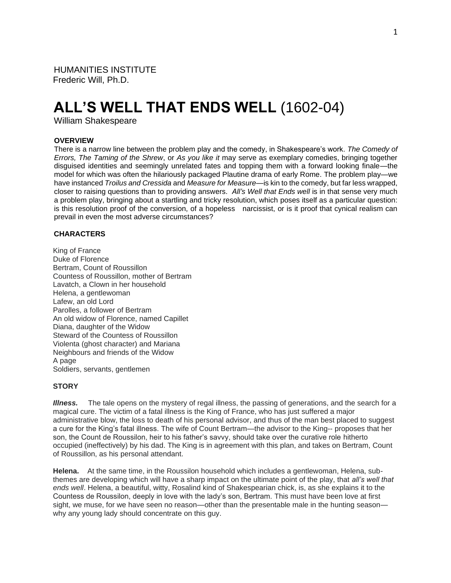HUMANITIES INSTITUTE Frederic Will, Ph.D.

# **ALL'S WELL THAT ENDS WELL** (1602-04)

William Shakespeare

#### **OVERVIEW**

There is a narrow line between the problem play and the comedy, in Shakespeare's work. *The Comedy of Errors, The Taming of the Shrew*, or *As you like it* may serve as exemplary comedies, bringing together disguised identities and seemingly unrelated fates and topping them with a forward looking finale—the model for which was often the hilariously packaged Plautine drama of early Rome. The problem play—we have instanced *Troilus and Cressida* and *Measure for Measure*—is kin to the comedy, but far less wrapped, closer to raising questions than to providing answers. *All's Well that Ends well* is in that sense very much a problem play, bringing about a startling and tricky resolution, which poses itself as a particular question: is this resolution proof of the conversion, of a hopeless narcissist, or is it proof that cynical realism can prevail in even the most adverse circumstances?

## **CHARACTERS**

King of France Duke of Florence Bertram, Count of Roussillon Countess of Roussillon, mother of Bertram Lavatch, a Clown in her household Helena, a gentlewoman Lafew, an old Lord Parolles, a follower of Bertram An old widow of Florence, named Capillet Diana, daughter of the Widow Steward of the Countess of Roussillon Violenta (ghost character) and Mariana Neighbours and friends of the Widow A page Soldiers, servants, gentlemen

## **STORY**

*Illness.*The tale opens on the mystery of regal illness, the passing of generations, and the search for a magical cure. The victim of a fatal illness is the King of France, who has just suffered a major administrative blow, the loss to death of his personal advisor, and thus of the man best placed to suggest a cure for the King's fatal illness. The wife of Count Bertram—the advisor to the King-- proposes that her son, the Count de Roussilon, heir to his father's savvy, should take over the curative role hitherto occupied (ineffectively) by his dad. The King is in agreement with this plan, and takes on Bertram, Count of Roussillon, as his personal attendant.

**Helena.** At the same time, in the Roussilon household which includes a gentlewoman, Helena, subthemes are developing which will have a sharp impact on the ultimate point of the play, that *all's well that ends well*. Helena, a beautiful, witty, Rosalind kind of Shakespearian chick, is, as she explains it to the Countess de Roussilon, deeply in love with the lady's son, Bertram. This must have been love at first sight, we muse, for we have seen no reason—other than the presentable male in the hunting season why any young lady should concentrate on this guy.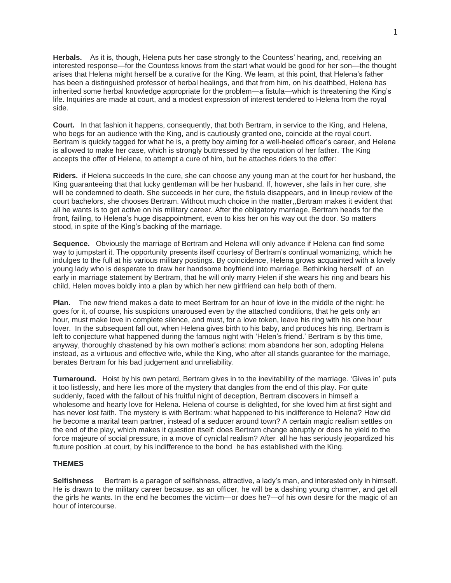**Herbals.** As it is, though, Helena puts her case strongly to the Countess' hearing, and, receiving an interested response—for the Countess knows from the start what would be good for her son—the thought arises that Helena might herself be a curative for the King. We learn, at this point, that Helena's father has been a distinguished professor of herbal healings, and that from him, on his deathbed, Helena has inherited some herbal knowledge appropriate for the problem—a fistula—which is threatening the King's life. Inquiries are made at court, and a modest expression of interest tendered to Helena from the royal side.

**Court.** In that fashion it happens, consequently, that both Bertram, in service to the King, and Helena, who begs for an audience with the King, and is cautiously granted one, coincide at the royal court. Bertram is quickly tagged for what he is, a pretty boy aiming for a well-heeled officer's career, and Helena is allowed to make her case, which is strongly buttressed by the reputation of her father. The King accepts the offer of Helena, to attempt a cure of him, but he attaches riders to the offer:

**Riders.** if Helena succeeds In the cure, she can choose any young man at the court for her husband, the King guaranteeing that that lucky gentleman will be her husband. If, however, she fails in her cure, she will be condemned to death. She succeeds in her cure, the fistula disappears, and in lineup review of the court bachelors, she chooses Bertram. Without much choice in the matter,,Bertram makes it evident that all he wants is to get active on his military career. After the obligatory marriage, Bertram heads for the front, failing, to Helena's huge disappointment, even to kiss her on his way out the door. So matters stood, in spite of the King's backing of the marriage.

**Sequence.** Obviously the marriage of Bertram and Helena will only advance if Helena can find some way to jumpstart it. The opportunity presents itself courtesy of Bertram's continual womanizing, which he indulges to the full at his various military postings. By coincidence, Helena grows acquainted with a lovely young lady who is desperate to draw her handsome boyfriend into marriage. Bethinking herself of an early in marriage statement by Bertram, that he will only marry Helen if she wears his ring and bears his child, Helen moves boldly into a plan by which her new girlfriend can help both of them.

**Plan.** The new friend makes a date to meet Bertram for an hour of love in the middle of the night: he goes for it, of course, his suspicions unaroused even by the attached conditions, that he gets only an hour, must make love in complete silence, and must, for a love token, leave his ring with his one hour lover. In the subsequent fall out, when Helena gives birth to his baby, and produces his ring, Bertram is left to conjecture what happened during the famous night with 'Helen's friend.' Bertram is by this time, anyway, thoroughly chastened by his own mother's actions: mom abandons her son, adopting Helena instead, as a virtuous and effective wife, while the King, who after all stands guarantee for the marriage, berates Bertram for his bad judgement and unreliability.

**Turnaround.** Hoist by his own petard, Bertram gives in to the inevitability of the marriage. 'Gives in' puts it too listlessly, and here lies more of the mystery that dangles from the end of this play. For quite suddenly, faced with the fallout of his fruitful night of deception, Bertram discovers in himself a wholesome and hearty love for Helena. Helena of course is delighted, for she loved him at first sight and has never lost faith. The mystery is with Bertram: what happened to his indifference to Helena? How did he become a marital team partner, instead of a seducer around town? A certain magic realism settles on the end of the play, which makes it question itself: does Bertram change abruptly or does he yield to the force majeure of social pressure, in a move of cyniclal realism? After all he has seriously jeopardized his ftuture position .at court, by his indifference to the bond he has established with the King.

## **THEMES**

**Selfishness** Bertram is a paragon of selfishness, attractive, a lady's man, and interested only in himself. He is drawn to the military career because, as an officer, he will be a dashing young charmer, and get all the girls he wants. In the end he becomes the victim—or does he?—of his own desire for the magic of an hour of intercourse.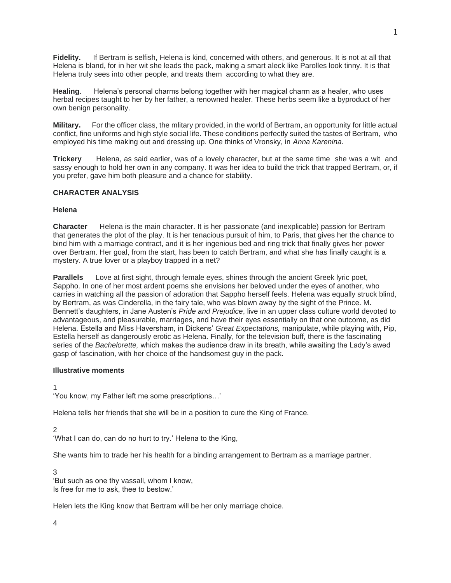**Fidelity.** If Bertram is selfish, Helena is kind, concerned with others, and generous. It is not at all that Helena is bland, for in her wit she leads the pack, making a smart aleck like Parolles look tinny. It is that Helena truly sees into other people, and treats them according to what they are.

**Healing**. Helena's personal charms belong together with her magical charm as a healer, who uses herbal recipes taught to her by her father, a renowned healer. These herbs seem like a byproduct of her own benign personality.

**Military.** For the officer class, the mlitary provided, in the world of Bertram, an opportunity for little actual conflict, fine uniforms and high style social life. These conditions perfectly suited the tastes of Bertram, who employed his time making out and dressing up. One thinks of Vronsky, in *Anna Karenina*.

**Trickery** Helena, as said earlier, was of a lovely character, but at the same time she was a wit and sassy enough to hold her own in any company. It was her idea to build the trick that trapped Bertram, or, if you prefer, gave him both pleasure and a chance for stability.

# **CHARACTER ANALYSIS**

## **Helena**

**Character** Helena is the main character. It is her passionate (and inexplicable) passion for Bertram that generates the plot of the play. It is her tenacious pursuit of him, to Paris, that gives her the chance to bind him with a marriage contract, and it is her ingenious bed and ring trick that finally gives her power over Bertram. Her goal, from the start, has been to catch Bertram, and what she has finally caught is a mystery. A true lover or a playboy trapped in a net?

**Parallels** Love at first sight, through female eyes, shines through the ancient Greek lyric poet, Sappho. In one of her most ardent poems she envisions her beloved under the eyes of another, who carries in watching all the passion of adoration that Sappho herself feels. Helena was equally struck blind, by Bertram, as was Cinderella, in the fairy tale, who was blown away by the sight of the Prince. M. Bennett's daughters, in Jane Austen's *Pride and Prejudice*, live in an upper class culture world devoted to advantageous, and pleasurable, marriages, and have their eyes essentially on that one outcome, as did Helena. Estella and Miss Haversham, in Dickens' *Great Expectations,* manipulate, while playing with, Pip, Estella herself as dangerously erotic as Helena. Finally, for the television buff, there is the fascinating series of the *Bachelorette,* which makes the audience draw in its breath, while awaiting the Lady's awed gasp of fascination, with her choice of the handsomest guy in the pack.

#### **Illustrative moments**

1

'You know, my Father left me some prescriptions…'

Helena tells her friends that she will be in a position to cure the King of France.

 $\mathfrak{D}$ 

'What I can do, can do no hurt to try.' Helena to the King,

She wants him to trade her his health for a binding arrangement to Bertram as a marriage partner.

3

'But such as one thy vassall, whom I know, Is free for me to ask, thee to bestow.'

Helen lets the King know that Bertram will be her only marriage choice.